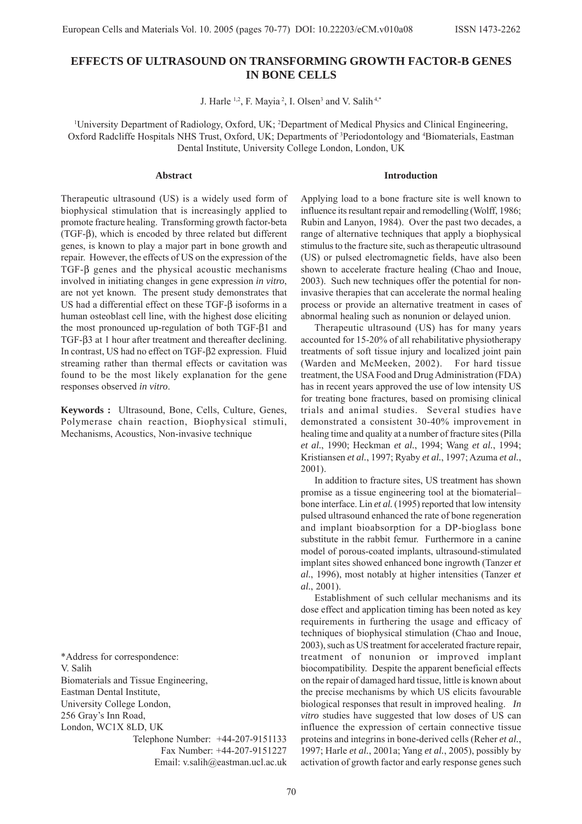# **EFFECTS OF ULTRASOUND ON TRANSFORMING GROWTH FACTOR-B GENES IN BONE CELLS**

J. Harle <sup>1,2</sup>, F. Mayia<sup>2</sup>, I. Olsen<sup>3</sup> and V. Salih<sup>4,\*</sup>

1 University Department of Radiology, Oxford, UK; 2 Department of Medical Physics and Clinical Engineering, Oxford Radcliffe Hospitals NHS Trust, Oxford, UK; Departments of <sup>3</sup>Periodontology and <sup>4</sup>Biomaterials, Eastman Dental Institute, University College London, London, UK

## **Abstract**

Therapeutic ultrasound (US) is a widely used form of biophysical stimulation that is increasingly applied to promote fracture healing. Transforming growth factor-beta (TGF-β), which is encoded by three related but different genes, is known to play a major part in bone growth and repair. However, the effects of US on the expression of the TGF-β genes and the physical acoustic mechanisms involved in initiating changes in gene expression *in vitro*, are not yet known. The present study demonstrates that US had a differential effect on these TGF-β isoforms in a human osteoblast cell line, with the highest dose eliciting the most pronounced up-regulation of both TGF-β1 and TGF-β3 at 1 hour after treatment and thereafter declining. In contrast, US had no effect on TGF-β2 expression. Fluid streaming rather than thermal effects or cavitation was found to be the most likely explanation for the gene responses observed *in vitro*.

**Keywords :** Ultrasound, Bone, Cells, Culture, Genes, Polymerase chain reaction, Biophysical stimuli, Mechanisms, Acoustics, Non-invasive technique

\*Address for correspondence: V. Salih Biomaterials and Tissue Engineering, Eastman Dental Institute, University College London, 256 Gray's Inn Road, London, WC1X 8LD, UK

Telephone Number: +44-207-9151133 Fax Number: +44-207-9151227 Email: v.salih@eastman.ucl.ac.uk Applying load to a bone fracture site is well known to influence its resultant repair and remodelling (Wolff, 1986; Rubin and Lanyon, 1984). Over the past two decades, a range of alternative techniques that apply a biophysical stimulus to the fracture site, such as therapeutic ultrasound (US) or pulsed electromagnetic fields, have also been shown to accelerate fracture healing (Chao and Inoue, 2003). Such new techniques offer the potential for noninvasive therapies that can accelerate the normal healing process or provide an alternative treatment in cases of abnormal healing such as nonunion or delayed union.

**Introduction**

Therapeutic ultrasound (US) has for many years accounted for 15-20% of all rehabilitative physiotherapy treatments of soft tissue injury and localized joint pain (Warden and McMeeken, 2002). For hard tissue treatment, the USA Food and Drug Administration (FDA) has in recent years approved the use of low intensity US for treating bone fractures, based on promising clinical trials and animal studies. Several studies have demonstrated a consistent 30-40% improvement in healing time and quality at a number of fracture sites (Pilla *et al.*, 1990; Heckman *et al.*, 1994; Wang *et al.*, 1994; Kristiansen *et al.*, 1997; Ryaby *et al.*, 1997; Azuma *et al.*, 2001).

In addition to fracture sites, US treatment has shown promise as a tissue engineering tool at the biomaterial– bone interface. Lin *et al.* (1995) reported that low intensity pulsed ultrasound enhanced the rate of bone regeneration and implant bioabsorption for a DP-bioglass bone substitute in the rabbit femur. Furthermore in a canine model of porous-coated implants, ultrasound-stimulated implant sites showed enhanced bone ingrowth (Tanzer *et al.*, 1996), most notably at higher intensities (Tanzer *et al.*, 2001).

Establishment of such cellular mechanisms and its dose effect and application timing has been noted as key requirements in furthering the usage and efficacy of techniques of biophysical stimulation (Chao and Inoue, 2003), such as US treatment for accelerated fracture repair, treatment of nonunion or improved implant biocompatibility. Despite the apparent beneficial effects on the repair of damaged hard tissue, little is known about the precise mechanisms by which US elicits favourable biological responses that result in improved healing. *In vitro* studies have suggested that low doses of US can influence the expression of certain connective tissue proteins and integrins in bone-derived cells (Reher *et al.*, 1997; Harle *et al.*, 2001a; Yang *et al.*, 2005), possibly by activation of growth factor and early response genes such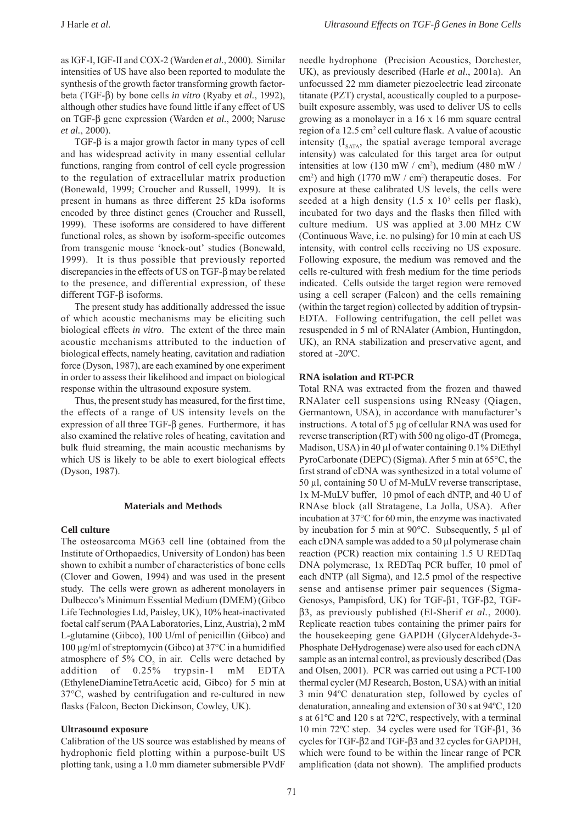as IGF-I, IGF-II and COX-2 (Warden *et al.*, 2000). Similar intensities of US have also been reported to modulate the synthesis of the growth factor transforming growth factorbeta (TGF-β) by bone cells *in vitro* (Ryaby et *al.*, 1992), although other studies have found little if any effect of US on TGF-β gene expression (Warden *et al.*, 2000; Naruse *et al.*, 2000).

TGF-β is a major growth factor in many types of cell and has widespread activity in many essential cellular functions, ranging from control of cell cycle progression to the regulation of extracellular matrix production (Bonewald, 1999; Croucher and Russell, 1999). It is present in humans as three different 25 kDa isoforms encoded by three distinct genes (Croucher and Russell, 1999). These isoforms are considered to have different functional roles, as shown by isoform-specific outcomes from transgenic mouse 'knock-out' studies (Bonewald, 1999). It is thus possible that previously reported discrepancies in the effects of US on TGF-β may be related to the presence, and differential expression, of these different TGF-β isoforms.

The present study has additionally addressed the issue of which acoustic mechanisms may be eliciting such biological effects *in vitro*. The extent of the three main acoustic mechanisms attributed to the induction of biological effects, namely heating, cavitation and radiation force (Dyson, 1987), are each examined by one experiment in order to assess their likelihood and impact on biological response within the ultrasound exposure system.

Thus, the present study has measured, for the first time, the effects of a range of US intensity levels on the expression of all three TGF-β genes. Furthermore, it has also examined the relative roles of heating, cavitation and bulk fluid streaming, the main acoustic mechanisms by which US is likely to be able to exert biological effects (Dyson, 1987).

#### **Materials and Methods**

## **Cell culture**

The osteosarcoma MG63 cell line (obtained from the Institute of Orthopaedics, University of London) has been shown to exhibit a number of characteristics of bone cells (Clover and Gowen, 1994) and was used in the present study. The cells were grown as adherent monolayers in Dulbecco's Minimum Essential Medium (DMEM) (Gibco Life Technologies Ltd, Paisley, UK), 10% heat-inactivated foetal calf serum (PAA Laboratories, Linz, Austria), 2 mM L-glutamine (Gibco), 100 U/ml of penicillin (Gibco) and 100 µg/ml of streptomycin (Gibco) at 37°C in a humidified atmosphere of 5%  $CO<sub>2</sub>$  in air. Cells were detached by addition of 0.25% trypsin-1 mM EDTA (EthyleneDiamineTetraAcetic acid, Gibco) for 5 min at 37°C, washed by centrifugation and re-cultured in new flasks (Falcon, Becton Dickinson, Cowley, UK).

#### **Ultrasound exposure**

Calibration of the US source was established by means of hydrophonic field plotting within a purpose-built US plotting tank, using a 1.0 mm diameter submersible PVdF

needle hydrophone (Precision Acoustics, Dorchester, UK), as previously described (Harle *et al*., 2001a). An unfocussed 22 mm diameter piezoelectric lead zirconate titanate (PZT) crystal, acoustically coupled to a purposebuilt exposure assembly, was used to deliver US to cells growing as a monolayer in a 16 x 16 mm square central region of a 12.5 cm<sup>2</sup> cell culture flask. A value of acoustic intensity  $(I_{SATA}$ , the spatial average temporal average intensity) was calculated for this target area for output intensities at low (130 mW / cm2 ), medium (480 mW / cm<sup>2</sup>) and high (1770 mW / cm<sup>2</sup>) therapeutic doses. For exposure at these calibrated US levels, the cells were seeded at a high density  $(1.5 \times 10^5 \text{ cells per flask})$ , incubated for two days and the flasks then filled with culture medium. US was applied at 3.00 MHz CW (Continuous Wave, i.e. no pulsing) for 10 min at each US intensity, with control cells receiving no US exposure. Following exposure, the medium was removed and the cells re-cultured with fresh medium for the time periods indicated. Cells outside the target region were removed using a cell scraper (Falcon) and the cells remaining (within the target region) collected by addition of trypsin-EDTA. Following centrifugation, the cell pellet was resuspended in 5 ml of RNAlater (Ambion, Huntingdon, UK), an RNA stabilization and preservative agent, and stored at -20ºC.

## **RNA isolation and RT-PCR**

Total RNA was extracted from the frozen and thawed RNAlater cell suspensions using RNeasy (Qiagen, Germantown, USA), in accordance with manufacturer's instructions. A total of 5 µg of cellular RNA was used for reverse transcription (RT) with 500 ng oligo-dT (Promega, Madison, USA) in 40 ul of water containing 0.1% DiEthyl PyroCarbonate (DEPC) (Sigma). After 5 min at 65°C, the first strand of cDNA was synthesized in a total volume of 50 µl, containing 50 U of M-MuLV reverse transcriptase, 1x M-MuLV buffer, 10 pmol of each dNTP, and 40 U of RNAse block (all Stratagene, La Jolla, USA). After incubation at 37°C for 60 min, the enzyme was inactivated by incubation for 5 min at 90°C. Subsequently, 5 µl of each cDNA sample was added to a 50 µl polymerase chain reaction (PCR) reaction mix containing 1.5 U REDTaq DNA polymerase, 1x REDTaq PCR buffer, 10 pmol of each dNTP (all Sigma), and 12.5 pmol of the respective sense and antisense primer pair sequences (Sigma-Genosys, Pampisford, UK) for TGF-β1, TGF-β2, TGFβ3, as previously published (El-Sherif *et al.*, 2000). Replicate reaction tubes containing the primer pairs for the housekeeping gene GAPDH (GlycerAldehyde-3- Phosphate DeHydrogenase) were also used for each cDNA sample as an internal control, as previously described (Das and Olsen, 2001). PCR was carried out using a PCT-100 thermal cycler (MJ Research, Boston, USA) with an initial 3 min 94ºC denaturation step, followed by cycles of denaturation, annealing and extension of 30 s at 94ºC, 120 s at 61ºC and 120 s at 72ºC, respectively, with a terminal 10 min 72ºC step. 34 cycles were used for TGF-β1, 36 cycles for TGF-β2 and TGF-β3 and 32 cycles for GAPDH, which were found to be within the linear range of PCR amplification (data not shown).The amplified products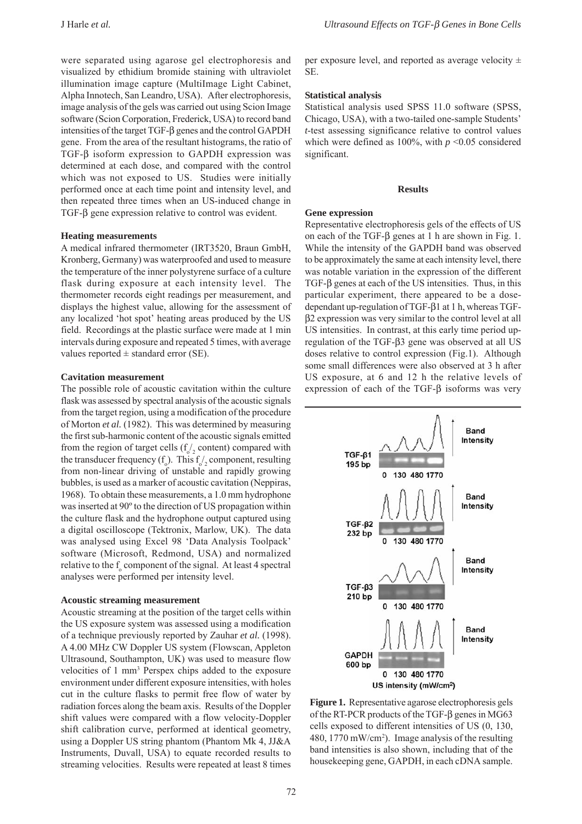were separated using agarose gel electrophoresis and visualized by ethidium bromide staining with ultraviolet illumination image capture (MultiImage Light Cabinet, Alpha Innotech, San Leandro, USA). After electrophoresis, image analysis of the gels was carried out using Scion Image software (Scion Corporation, Frederick, USA) to record band intensities of the target TGF-β genes and the control GAPDH gene. From the area of the resultant histograms, the ratio of TGF-β isoform expression to GAPDH expression was determined at each dose, and compared with the control which was not exposed to US. Studies were initially performed once at each time point and intensity level, and then repeated three times when an US-induced change in TGF-β gene expression relative to control was evident.

## **Heating measurements**

A medical infrared thermometer (IRT3520, Braun GmbH, Kronberg, Germany) was waterproofed and used to measure the temperature of the inner polystyrene surface of a culture flask during exposure at each intensity level. The thermometer records eight readings per measurement, and displays the highest value, allowing for the assessment of any localized 'hot spot' heating areas produced by the US field. Recordings at the plastic surface were made at 1 min intervals during exposure and repeated 5 times, with average values reported  $\pm$  standard error (SE).

#### **Cavitation measurement**

The possible role of acoustic cavitation within the culture flask was assessed by spectral analysis of the acoustic signals from the target region, using a modification of the procedure of Morton *et al.* (1982). This was determined by measuring the first sub-harmonic content of the acoustic signals emitted from the region of target cells  $(f_0 /_2 \text{ content})$  compared with the transducer frequency  $(f_0)$ . This  $f_0/2$  component, resulting from non-linear driving of unstable and rapidly growing bubbles, is used as a marker of acoustic cavitation (Neppiras, 1968). To obtain these measurements, a 1.0 mm hydrophone was inserted at 90º to the direction of US propagation within the culture flask and the hydrophone output captured using a digital oscilloscope (Tektronix, Marlow, UK). The data was analysed using Excel 98 'Data Analysis Toolpack' software (Microsoft, Redmond, USA) and normalized relative to the  $f_{\circ}$  component of the signal. At least 4 spectral analyses were performed per intensity level.

#### **Acoustic streaming measurement**

Acoustic streaming at the position of the target cells within the US exposure system was assessed using a modification of a technique previously reported by Zauhar *et al.* (1998). A 4.00 MHz CW Doppler US system (Flowscan, Appleton Ultrasound, Southampton, UK) was used to measure flow velocities of 1 mm<sup>3</sup> Perspex chips added to the exposure environment under different exposure intensities, with holes cut in the culture flasks to permit free flow of water by radiation forces along the beam axis. Results of the Doppler shift values were compared with a flow velocity-Doppler shift calibration curve, performed at identical geometry, using a Doppler US string phantom (Phantom Mk 4, JJ&A Instruments, Duvall, USA) to equate recorded results to streaming velocities. Results were repeated at least 8 times per exposure level, and reported as average velocity  $\pm$ SE.

## **Statistical analysis**

Statistical analysis used SPSS 11.0 software (SPSS, Chicago, USA), with a two-tailed one-sample Students' *t*-test assessing significance relative to control values which were defined as 100%, with  $p \le 0.05$  considered significant.

#### **Results**

## **Gene expression**

Representative electrophoresis gels of the effects of US on each of the TGF-β genes at 1 h are shown in Fig. 1. While the intensity of the GAPDH band was observed to be approximately the same at each intensity level, there was notable variation in the expression of the different TGF-β genes at each of the US intensities. Thus, in this particular experiment, there appeared to be a dosedependant up-regulation of TGF-β1 at 1 h, whereas TGFβ2 expression was very similar to the control level at all US intensities. In contrast, at this early time period upregulation of the TGF-β3 gene was observed at all US doses relative to control expression (Fig.1). Although some small differences were also observed at 3 h after US exposure, at 6 and 12 h the relative levels of expression of each of the TGF-β isoforms was very



**Figure 1.** Representative agarose electrophoresis gels of the RT-PCR products of the TGF-β genes in MG63 cells exposed to different intensities of US (0, 130, 480, 1770 mW/cm2 ). Image analysis of the resulting band intensities is also shown, including that of the housekeeping gene, GAPDH, in each cDNA sample.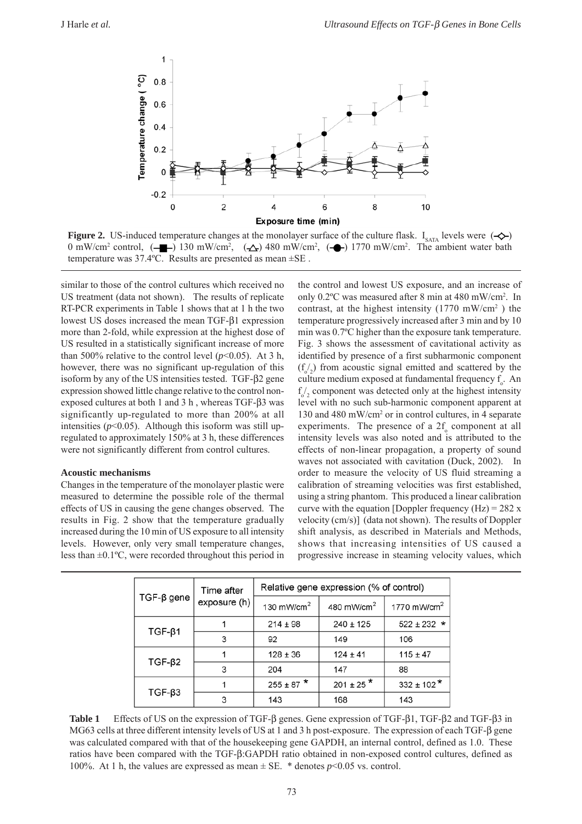

**Figure 2.** US-induced temperature changes at the monolayer surface of the culture flask. I<sub>SATA</sub> levels were  $(\neg \Diamond \neg)$ 0 mW/cm<sup>2</sup> control,  $(-\Box)$  130 mW/cm<sup>2</sup>,  $(\triangle)$  480 mW/cm<sup>2</sup>,  $(-\triangle)$  1770 mW/cm<sup>2</sup>. The ambient water bath temperature was 37.4ºC. Results are presented as mean ±SE .

similar to those of the control cultures which received no US treatment (data not shown). The results of replicate RT-PCR experiments in Table 1 shows that at 1 h the two lowest US doses increased the mean TGF-β1 expression more than 2-fold, while expression at the highest dose of US resulted in a statistically significant increase of more than 500% relative to the control level  $(p<0.05)$ . At 3 h, however, there was no significant up-regulation of this isoform by any of the US intensities tested. TGF-β2 gene expression showed little change relative to the control nonexposed cultures at both 1 and 3 h, whereas TGF- $β3$  was significantly up-regulated to more than 200% at all intensities  $(p<0.05)$ . Although this isoform was still upregulated to approximately 150% at 3 h, these differences were not significantly different from control cultures.

## **Acoustic mechanisms**

Changes in the temperature of the monolayer plastic were measured to determine the possible role of the thermal effects of US in causing the gene changes observed. The results in Fig. 2 show that the temperature gradually increased during the 10 min of US exposure to all intensity levels. However, only very small temperature changes, less than ±0.1ºC, were recorded throughout this period in

the control and lowest US exposure, and an increase of only 0.2ºC was measured after 8 min at 480 mW/cm2 . In contrast, at the highest intensity  $(1770 \text{ mW/cm}^2)$  the temperature progressively increased after 3 min and by 10 min was 0.7ºC higher than the exposure tank temperature. Fig. 3 shows the assessment of cavitational activity as identified by presence of a first subharmonic component  $(f_0/2)$  from acoustic signal emitted and scattered by the culture medium exposed at fundamental frequency  $f_\circ$ . An  $f_{o/2}$  component was detected only at the highest intensity level with no such sub-harmonic component apparent at 130 and 480 mW/cm2 or in control cultures, in 4 separate experiments. The presence of a  $2f_0$  component at all intensity levels was also noted and is attributed to the effects of non-linear propagation, a property of sound waves not associated with cavitation (Duck, 2002). In order to measure the velocity of US fluid streaming a calibration of streaming velocities was first established, using a string phantom. This produced a linear calibration curve with the equation [Doppler frequency  $(Hz) = 282 x$ velocity (cm/s)] (data not shown). The results of Doppler shift analysis, as described in Materials and Methods, shows that increasing intensities of US caused a progressive increase in steaming velocity values, which

| $TGF-\beta gene$ | Time after<br>exposure (h) | Relative gene expression (% of control) |                           |                 |
|------------------|----------------------------|-----------------------------------------|---------------------------|-----------------|
|                  |                            | 130 mW/cm $^2$                          | 480 mW/cm $^2$            | 1770 mW/cm $^2$ |
| $TGF-\beta1$     |                            | $214 \pm 98$                            | $240 \pm 125$             | $522 \pm 232$ * |
|                  | 3                          | 92                                      | 149                       | 106             |
| $TGF-\beta2$     |                            | $128 \pm 36$                            | $124 \pm 41$              | $115 \pm 47$    |
|                  | 3                          | 204                                     | 147                       | 88              |
| $TGF-\beta3$     |                            | $255 \pm 87$ *                          | $201 \pm 25$ <sup>*</sup> | $332 \pm 102$ * |
|                  | 3                          | 143                                     | 168                       | 143             |

**Table 1** Effects of US on the expression of TGF-β genes. Gene expression of TGF-β1, TGF-β2 and TGF-β3 in MG63 cells at three different intensity levels of US at 1 and 3 h post-exposure. The expression of each TGF-β gene was calculated compared with that of the housekeeping gene GAPDH, an internal control, defined as 1.0. These ratios have been compared with the TGF-β:GAPDH ratio obtained in non-exposed control cultures, defined as 100%. At 1 h, the values are expressed as mean  $\pm$  SE. \* denotes  $p$ <0.05 vs. control.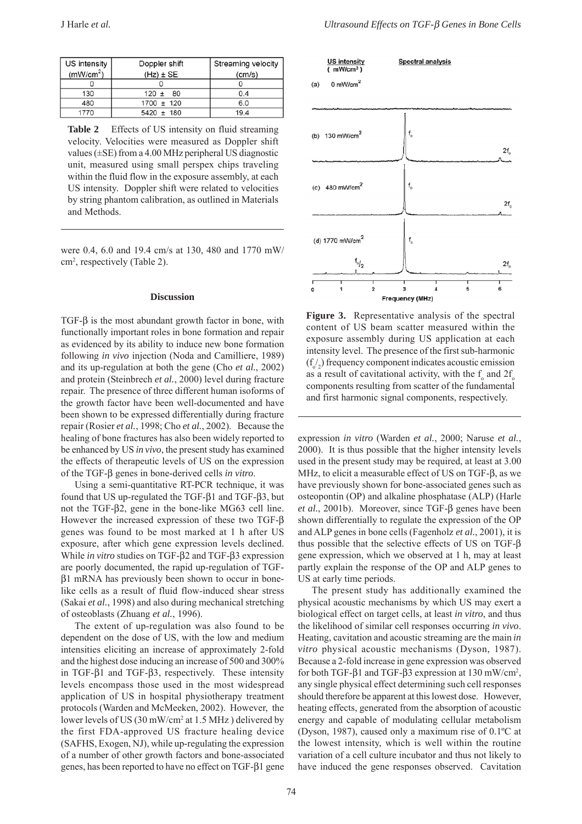| US intensity          | Doppler shift  | Streaming velocity |
|-----------------------|----------------|--------------------|
| (mW/cm <sup>2</sup> ) | $(Hz) \pm SE$  | (cm/s)             |
|                       |                |                    |
| 130                   | $120 \pm 80$   | 0.4                |
| 480                   | $1700 \pm 120$ | 6.0                |
| 1770                  | $5420 \pm 180$ | 19.4               |

Table 2 Effects of US intensity on fluid streaming velocity. Velocities were measured as Doppler shift values  $(\pm SE)$  from a 4.00 MHz peripheral US diagnostic unit, measured using small perspex chips traveling within the fluid flow in the exposure assembly, at each US intensity. Doppler shift were related to velocities by string phantom calibration, as outlined in Materials and Methods.

were 0.4, 6.0 and 19.4 cm/s at 130, 480 and 1770 mW/ cm2 , respectively (Table 2).

#### **Discussion**

TGF-β is the most abundant growth factor in bone, with functionally important roles in bone formation and repair as evidenced by its ability to induce new bone formation following *in vivo* injection (Noda and Camilliere, 1989) and its up-regulation at both the gene (Cho *et al.*, 2002) and protein (Steinbrech *et al.*, 2000) level during fracture repair. The presence of three different human isoforms of the growth factor have been well-documented and have been shown to be expressed differentially during fracture repair (Rosier *et al.*, 1998; Cho *et al.*, 2002). Because the healing of bone fractures has also been widely reported to be enhanced by US *in vivo*, the present study has examined the effects of therapeutic levels of US on the expression of the TGF-β genes in bone-derived cells *in vitro*.

Using a semi-quantitative RT-PCR technique, it was found that US up-regulated the TGF-β1 and TGF-β3, but not the TGF-β2, gene in the bone-like MG63 cell line. However the increased expression of these two TGF-β genes was found to be most marked at 1 h after US exposure, after which gene expression levels declined. While *in vitro* studies on TGF-β2 and TGF-β3 expression are poorly documented, the rapid up-regulation of TGFβ1 mRNA has previously been shown to occur in bonelike cells as a result of fluid flow-induced shear stress (Sakai *et al.*, 1998) and also during mechanical stretching of osteoblasts (Zhuang *et al.*, 1996).

The extent of up-regulation was also found to be dependent on the dose of US, with the low and medium intensities eliciting an increase of approximately 2-fold and the highest dose inducing an increase of 500 and 300% in TGF-β1 and TGF-β3, respectively. These intensity levels encompass those used in the most widespread application of US in hospital physiotherapy treatment protocols (Warden and McMeeken, 2002). However, the lower levels of US (30 mW/cm<sup>2</sup> at 1.5 MHz) delivered by the first FDA-approved US fracture healing device (SAFHS, Exogen, NJ), while up-regulating the expression of a number of other growth factors and bone-associated genes, has been reported to have no effect on TGF-β1 gene



**Figure 3.** Representative analysis of the spectral content of US beam scatter measured within the exposure assembly during US application at each intensity level. The presence of the first sub-harmonic  $(f_0/2)$  frequency component indicates acoustic emission as a result of cavitational activity, with the  $f_{\circ}$  and  $2f_{\circ}$ components resulting from scatter of the fundamental and first harmonic signal components, respectively.

expression *in vitro* (Warden *et al.*, 2000; Naruse *et al.*, 2000). It is thus possible that the higher intensity levels used in the present study may be required, at least at 3.00 MHz, to elicit a measurable effect of US on TGF-β, as we have previously shown for bone-associated genes such as osteopontin (OP) and alkaline phosphatase (ALP) (Harle *et al.*, 2001b). Moreover, since TGF-β genes have been shown differentially to regulate the expression of the OP and ALP genes in bone cells (Fagenholz *et al.*, 2001), it is thus possible that the selective effects of US on TGF-β gene expression, which we observed at 1 h, may at least partly explain the response of the OP and ALP genes to US at early time periods.

The present study has additionally examined the physical acoustic mechanisms by which US may exert a biological effect on target cells, at least *in vitro*, and thus the likelihood of similar cell responses occurring *in vivo*. Heating, cavitation and acoustic streaming are the main *in vitro* physical acoustic mechanisms (Dyson, 1987). Because a 2-fold increase in gene expression was observed for both TGF- $β1$  and TGF- $β3$  expression at  $130$  mW/cm<sup>2</sup>, any single physical effect determining such cell responses should therefore be apparent at this lowest dose. However, heating effects, generated from the absorption of acoustic energy and capable of modulating cellular metabolism (Dyson, 1987), caused only a maximum rise of 0.1ºC at the lowest intensity, which is well within the routine variation of a cell culture incubator and thus not likely to have induced the gene responses observed. Cavitation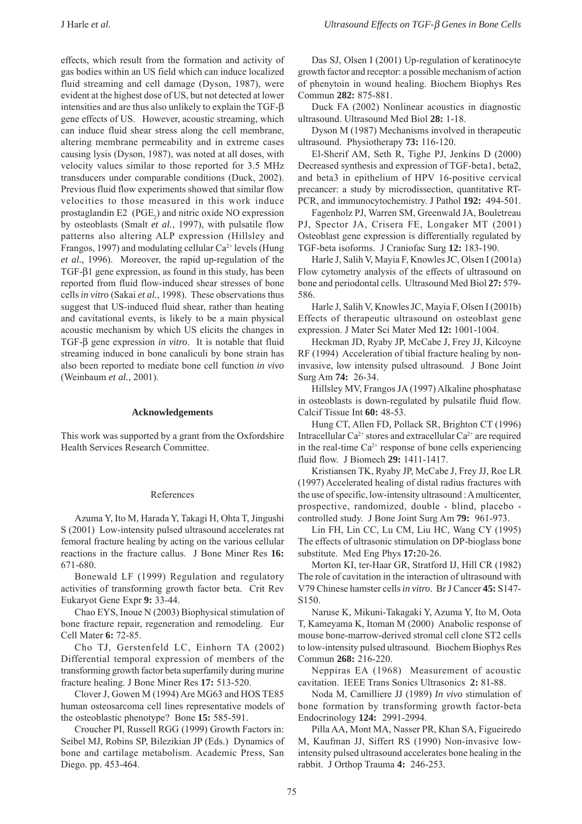effects, which result from the formation and activity of gas bodies within an US field which can induce localized fluid streaming and cell damage (Dyson, 1987), were evident at the highest dose of US, but not detected at lower intensities and are thus also unlikely to explain the TGF-β gene effects of US. However, acoustic streaming, which can induce fluid shear stress along the cell membrane, altering membrane permeability and in extreme cases causing lysis (Dyson, 1987), was noted at all doses, with velocity values similar to those reported for 3.5 MHz transducers under comparable conditions (Duck, 2002). Previous fluid flow experiments showed that similar flow velocities to those measured in this work induce prostaglandin  $E2 \text{ (PGE)}$  and nitric oxide NO expression by osteoblasts (Smalt *et al.*, 1997), with pulsatile flow patterns also altering ALP expression (Hillsley and Frangos, 1997) and modulating cellular  $Ca^{2+}$  levels (Hung *et al.*, 1996). Moreover, the rapid up-regulation of the TGF-β1 gene expression, as found in this study, has been reported from fluid flow-induced shear stresses of bone cells *in vitro* (Sakai *et al.*, 1998). These observations thus suggest that US-induced fluid shear, rather than heating and cavitational events, is likely to be a main physical acoustic mechanism by which US elicits the changes in TGF-β gene expression *in vitro*. It is notable that fluid streaming induced in bone canaliculi by bone strain has also been reported to mediate bone cell function *in vivo* (Weinbaum *et al.*, 2001).

## **Acknowledgements**

This work was supported by a grant from the Oxfordshire Health Services Research Committee.

#### References

Azuma Y, Ito M, Harada Y, Takagi H, Ohta T, Jingushi S (2001) Low-intensity pulsed ultrasound accelerates rat femoral fracture healing by acting on the various cellular reactions in the fracture callus. J Bone Miner Res **16:** 671-680.

Bonewald LF (1999) Regulation and regulatory activities of transforming growth factor beta. Crit Rev Eukaryot Gene Expr **9:** 33-44.

Chao EYS, Inoue N (2003) Biophysical stimulation of bone fracture repair, regeneration and remodeling. Eur Cell Mater **6:** 72-85.

Cho TJ, Gerstenfeld LC, Einhorn TA (2002) Differential temporal expression of members of the transforming growth factor beta superfamily during murine fracture healing. J Bone Miner Res **17:** 513-520.

Clover J, Gowen M (1994) Are MG63 and HOS TE85 human osteosarcoma cell lines representative models of the osteoblastic phenotype? Bone **15:** 585-591.

Croucher PI, Russell RGG (1999) Growth Factors in: Seibel MJ, Robins SP, Bilezikian JP (Eds.) Dynamics of bone and cartilage metabolism. Academic Press, San Diego. pp. 453-464.

Das SJ, Olsen I (2001) Up-regulation of keratinocyte growth factor and receptor: a possible mechanism of action of phenytoin in wound healing. Biochem Biophys Res Commun **282:** 875-881.

Duck FA (2002) Nonlinear acoustics in diagnostic ultrasound. Ultrasound Med Biol **28:** 1-18.

Dyson M (1987) Mechanisms involved in therapeutic ultrasound. Physiotherapy **73:** 116-120.

El-Sherif AM, Seth R, Tighe PJ, Jenkins D (2000) Decreased synthesis and expression of TGF-beta1, beta2, and beta3 in epithelium of HPV 16-positive cervical precancer: a study by microdissection, quantitative RT-PCR, and immunocytochemistry. J Pathol **192:** 494-501.

Fagenholz PJ, Warren SM, Greenwald JA, Bouletreau PJ, Spector JA, Crisera FE, Longaker MT (2001) Osteoblast gene expression is differentially regulated by TGF-beta isoforms. J Craniofac Surg **12:** 183-190.

Harle J, Salih V, Mayia F, Knowles JC, Olsen I (2001a) Flow cytometry analysis of the effects of ultrasound on bone and periodontal cells. Ultrasound Med Biol **27:** 579- 586.

Harle J, Salih V, Knowles JC, Mayia F, Olsen I (2001b) Effects of therapeutic ultrasound on osteoblast gene expression. J Mater Sci Mater Med **12:** 1001-1004.

Heckman JD, Ryaby JP, McCabe J, Frey JJ, Kilcoyne RF (1994) Acceleration of tibial fracture healing by noninvasive, low intensity pulsed ultrasound. J Bone Joint Surg Am **74:** 26-34.

Hillsley MV, Frangos JA (1997) Alkaline phosphatase in osteoblasts is down-regulated by pulsatile fluid flow. Calcif Tissue Int **60:** 48-53.

Hung CT, Allen FD, Pollack SR, Brighton CT (1996) Intracellular  $Ca^{2+}$  stores and extracellular  $Ca^{2+}$  are required in the real-time  $Ca^{2+}$  response of bone cells experiencing fluid flow. J Biomech **29:** 1411-1417.

Kristiansen TK, Ryaby JP, McCabe J, Frey JJ, Roe LR (1997) Accelerated healing of distal radius fractures with the use of specific, low-intensity ultrasound : A multicenter, prospective, randomized, double - blind, placebo controlled study. J Bone Joint Surg Am **79:** 961-973.

Lin FH, Lin CC, Lu CM, Liu HC, Wang CY (1995) The effects of ultrasonic stimulation on DP-bioglass bone substitute. Med Eng Phys **17:**20-26.

Morton KI, ter-Haar GR, Stratford IJ, Hill CR (1982) The role of cavitation in the interaction of ultrasound with V79 Chinese hamster cells *in vitro*. Br J Cancer **45:** S147- S150.

Naruse K, Mikuni-Takagaki Y, Azuma Y, Ito M, Oota T, Kameyama K, Itoman M (2000) Anabolic response of mouse bone-marrow-derived stromal cell clone ST2 cells to low-intensity pulsed ultrasound. Biochem Biophys Res Commun **268:** 216-220.

Neppiras EA (1968) Measurement of acoustic cavitation. IEEE Trans Sonics Ultrasonics **2:** 81-88.

Noda M, Camilliere JJ (1989) *In vivo* stimulation of bone formation by transforming growth factor-beta Endocrinology **124:** 2991-2994.

Pilla AA, Mont MA, Nasser PR, Khan SA, Figueiredo M, Kaufman JJ, Siffert RS (1990) Non-invasive lowintensity pulsed ultrasound accelerates bone healing in the rabbit. J Orthop Trauma **4:** 246-253.